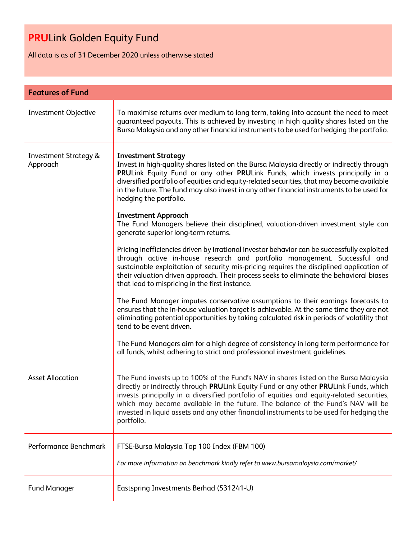All data is as of 31 December 2020 unless otherwise stated

| <b>Features of Fund</b>                      |                                                                                                                                                                                                                                                                                                                                                                                                                                                                        |  |
|----------------------------------------------|------------------------------------------------------------------------------------------------------------------------------------------------------------------------------------------------------------------------------------------------------------------------------------------------------------------------------------------------------------------------------------------------------------------------------------------------------------------------|--|
| Investment Objective                         | To maximise returns over medium to long term, taking into account the need to meet<br>guaranteed payouts. This is achieved by investing in high quality shares listed on the<br>Bursa Malaysia and any other financial instruments to be used for hedging the portfolio.                                                                                                                                                                                               |  |
| <b>Investment Strategy &amp;</b><br>Approach | <b>Investment Strategy</b><br>Invest in high-quality shares listed on the Bursa Malaysia directly or indirectly through<br>PRULink Equity Fund or any other PRULink Funds, which invests principally in a<br>diversified portfolio of equities and equity-related securities, that may become available<br>in the future. The fund may also invest in any other financial instruments to be used for<br>hedging the portfolio.                                         |  |
|                                              | <b>Investment Approach</b><br>The Fund Managers believe their disciplined, valuation-driven investment style can<br>generate superior long-term returns.                                                                                                                                                                                                                                                                                                               |  |
|                                              | Pricing inefficiencies driven by irrational investor behavior can be successfully exploited<br>through active in-house research and portfolio management. Successful and<br>sustainable exploitation of security mis-pricing requires the disciplined application of<br>their valuation driven approach. Their process seeks to eliminate the behavioral biases<br>that lead to mispricing in the first instance.                                                      |  |
|                                              | The Fund Manager imputes conservative assumptions to their earnings forecasts to<br>ensures that the in-house valuation target is achievable. At the same time they are not<br>eliminating potential opportunities by taking calculated risk in periods of volatility that<br>tend to be event driven.                                                                                                                                                                 |  |
|                                              | The Fund Managers aim for a high degree of consistency in long term performance for<br>all funds, whilst adhering to strict and professional investment guidelines.                                                                                                                                                                                                                                                                                                    |  |
| <b>Asset Allocation</b>                      | The Fund invests up to 100% of the Fund's NAV in shares listed on the Bursa Malaysia<br>directly or indirectly through PRULink Equity Fund or any other PRULink Funds, which<br>invests principally in a diversified portfolio of equities and equity-related securities,<br>which may become available in the future. The balance of the Fund's NAV will be<br>invested in liquid assets and any other financial instruments to be used for hedging the<br>portfolio. |  |
| Performance Benchmark                        | FTSE-Bursa Malaysia Top 100 Index (FBM 100)<br>For more information on benchmark kindly refer to www.bursamalaysia.com/market/                                                                                                                                                                                                                                                                                                                                         |  |
| <b>Fund Manager</b>                          | Eastspring Investments Berhad (531241-U)                                                                                                                                                                                                                                                                                                                                                                                                                               |  |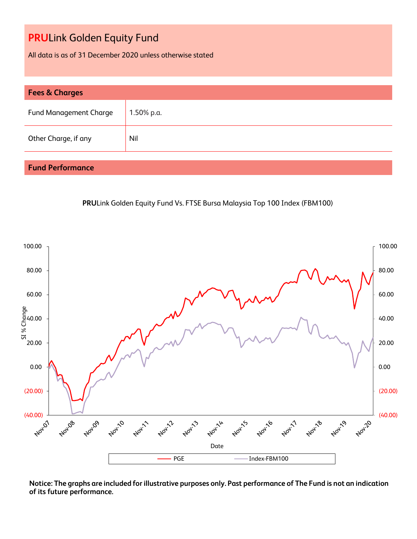All data is as of 31 December 2020 unless otherwise stated

| <b>Fees &amp; Charges</b>     |            |  |
|-------------------------------|------------|--|
| <b>Fund Management Charge</b> | 1.50% p.a. |  |
| Other Charge, if any          | Nil        |  |

### **Fund Performance**





**Notice: The graphs are included for illustrative purposes only. Past performance of The Fund is not an indication of its future performance.**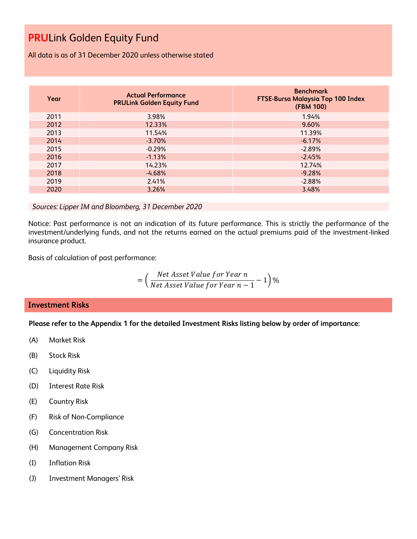All data is as of 31 December 2020 unless otherwise stated

| Year | <b>Actual Performance</b><br><b>PRULink Golden Equity Fund</b> | <b>Benchmark</b><br><b>FTSE-Bursa Malaysia Top 100 Index</b><br>(FBM 100) |
|------|----------------------------------------------------------------|---------------------------------------------------------------------------|
| 2011 | 3.98%                                                          | 1.94%                                                                     |
| 2012 | 12.33%                                                         | 9.60%                                                                     |
| 2013 | 11.54%                                                         | 11.39%                                                                    |
| 2014 | $-3.70%$                                                       | $-6.17%$                                                                  |
| 2015 | $-0.29%$                                                       | $-2.89%$                                                                  |
| 2016 | $-1.13%$                                                       | $-2.45%$                                                                  |
| 2017 | 14.23%                                                         | 12.74%                                                                    |
| 2018 | $-4.68%$                                                       | $-9.28%$                                                                  |
| 2019 | 2.41%                                                          | $-2.88%$                                                                  |
| 2020 | 3.26%                                                          | 3.48%                                                                     |

#### *Sources: Lipper IM and Bloomberg, 31 December 2020*

Notice: Past performance is not an indication of its future performance. This is strictly the performance of the investment/underlying funds, and not the returns earned on the actual premiums paid of the investment-linked insurance product.

Basis of calculation of past performance:

$$
= \left(\frac{Net\text{ Asset Value for Year }n}{Net\text{ Asset Value for Year }n-1}-1\right)\%
$$

#### **Investment Risks**

**Please refer to the Appendix 1 for the detailed Investment Risks listing below by order of importance:**

- (A) Market Risk
- (B) Stock Risk
- (C) Liquidity Risk
- (D) Interest Rate Risk
- (E) Country Risk
- (F) Risk of Non-Compliance
- (G) Concentration Risk
- (H) Management Company Risk
- (I) Inflation Risk
- (J) Investment Managers' Risk